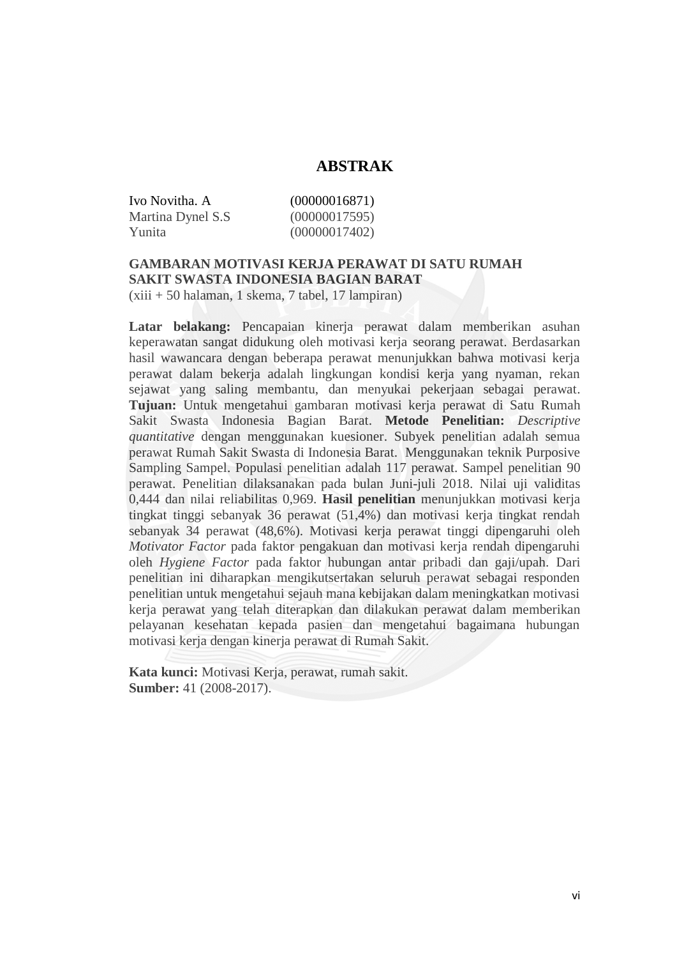## **ABSTRAK**

Ivo Novitha. A (00000016871) Martina Dynel S.S (00000017595) Yunita (00000017402)

## **GAMBARAN MOTIVASI KERJA PERAWAT DI SATU RUMAH SAKIT SWASTA INDONESIA BAGIAN BARAT**

(xiii + 50 halaman, 1 skema, 7 tabel, 17 lampiran)

**Latar belakang:** Pencapaian kinerja perawat dalam memberikan asuhan keperawatan sangat didukung oleh motivasi kerja seorang perawat. Berdasarkan hasil wawancara dengan beberapa perawat menunjukkan bahwa motivasi kerja perawat dalam bekerja adalah lingkungan kondisi kerja yang nyaman, rekan sejawat yang saling membantu, dan menyukai pekerjaan sebagai perawat. **Tujuan:** Untuk mengetahui gambaran motivasi kerja perawat di Satu Rumah Sakit Swasta Indonesia Bagian Barat. **Metode Penelitian:** *Descriptive quantitative* dengan menggunakan kuesioner. Subyek penelitian adalah semua perawat Rumah Sakit Swasta di Indonesia Barat. Menggunakan teknik Purposive Sampling Sampel. Populasi penelitian adalah 117 perawat. Sampel penelitian 90 perawat. Penelitian dilaksanakan pada bulan Juni-juli 2018. Nilai uji validitas 0,444 dan nilai reliabilitas 0,969. **Hasil penelitian** menunjukkan motivasi kerja tingkat tinggi sebanyak 36 perawat (51,4%) dan motivasi kerja tingkat rendah sebanyak 34 perawat (48,6%). Motivasi kerja perawat tinggi dipengaruhi oleh *Motivator Factor* pada faktor pengakuan dan motivasi kerja rendah dipengaruhi oleh *Hygiene Factor* pada faktor hubungan antar pribadi dan gaji/upah. Dari penelitian ini diharapkan mengikutsertakan seluruh perawat sebagai responden penelitian untuk mengetahui sejauh mana kebijakan dalam meningkatkan motivasi kerja perawat yang telah diterapkan dan dilakukan perawat dalam memberikan pelayanan kesehatan kepada pasien dan mengetahui bagaimana hubungan motivasi kerja dengan kinerja perawat di Rumah Sakit.

**Kata kunci:** Motivasi Kerja, perawat, rumah sakit. **Sumber:** 41 (2008-2017).